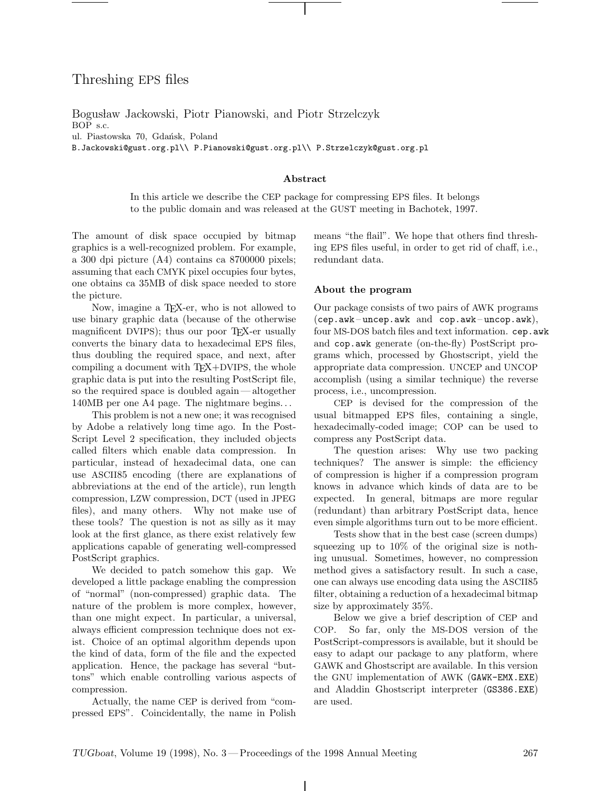# Threshing EPS files

Bogusław Jackowski, Piotr Pianowski, and Piotr Strzelczyk BOP s.c. ul. Piastowska 70, Gdańsk, Poland

B.Jackowski@gust.org.pl\\ P.Pianowski@gust.org.pl\\ P.Strzelczyk@gust.org.pl

#### **Abstract**

In this article we describe the CEP package for compressing EPS files. It belongs to the public domain and was released at the GUST meeting in Bachotek, 1997.

The amount of disk space occupied by bitmap graphics is a well-recognized problem. For example, a 300 dpi picture (A4) contains ca 8700000 pixels; assuming that each CMYK pixel occupies four bytes, one obtains ca 35MB of disk space needed to store the picture.

Now, imagine a TEX-er, who is not allowed to use binary graphic data (because of the otherwise magnificent DVIPS); thus our poor T<sub>F</sub>X-er usually converts the binary data to hexadecimal EPS files, thus doubling the required space, and next, after compiling a document with TEX+DVIPS, the whole graphic data is put into the resulting PostScript file, so the required space is doubled again—altogether 140MB per one A4 page. The nightmare begins.. .

This problem is not a new one; it was recognised by Adobe a relatively long time ago. In the Post-Script Level 2 specification, they included objects called filters which enable data compression. In particular, instead of hexadecimal data, one can use ASCII85 encoding (there are explanations of abbreviations at the end of the article), run length compression, LZW compression, DCT (used in JPEG files), and many others. Why not make use of these tools? The question is not as silly as it may look at the first glance, as there exist relatively few applications capable of generating well-compressed PostScript graphics.

We decided to patch somehow this gap. We developed a little package enabling the compression of "normal" (non-compressed) graphic data. The nature of the problem is more complex, however, than one might expect. In particular, a universal, always efficient compression technique does not exist. Choice of an optimal algorithm depends upon the kind of data, form of the file and the expected application. Hence, the package has several "buttons" which enable controlling various aspects of compression.

Actually, the name CEP is derived from "compressed EPS". Coincidentally, the name in Polish means "the flail". We hope that others find threshing EPS files useful, in order to get rid of chaff, i.e., redundant data.

#### **About the program**

Our package consists of two pairs of AWK programs  $(\texttt{cep}.\texttt{awk}-\texttt{uncep}.\texttt{awk}$  and  $\texttt{cop}.\texttt{awk}-\texttt{uncop}.\texttt{awk}),$ four MS-DOS batch files and text information. cep.awk and cop.awk generate (on-the-fly) PostScript programs which, processed by Ghostscript, yield the appropriate data compression. UNCEP and UNCOP accomplish (using a similar technique) the reverse process, i.e., uncompression.

CEP is devised for the compression of the usual bitmapped EPS files, containing a single, hexadecimally-coded image; COP can be used to compress any PostScript data.

The question arises: Why use two packing techniques? The answer is simple: the efficiency of compression is higher if a compression program knows in advance which kinds of data are to be expected. In general, bitmaps are more regular (redundant) than arbitrary PostScript data, hence even simple algorithms turn out to be more efficient.

Tests show that in the best case (screen dumps) squeezing up to 10% of the original size is nothing unusual. Sometimes, however, no compression method gives a satisfactory result. In such a case, one can always use encoding data using the ASCII85 filter, obtaining a reduction of a hexadecimal bitmap size by approximately 35%.

Below we give a brief description of CEP and COP. So far, only the MS-DOS version of the PostScript-compressors is available, but it should be easy to adapt our package to any platform, where GAWK and Ghostscript are available. In this version the GNU implementation of AWK (GAWK-EMX.EXE) and Aladdin Ghostscript interpreter (GS386.EXE) are used.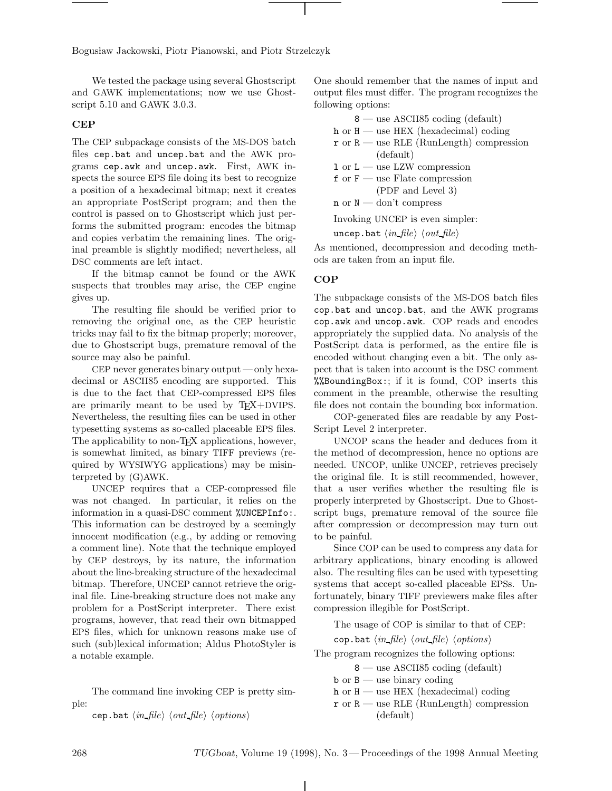Bogusław Jackowski, Piotr Pianowski, and Piotr Strzelczyk

We tested the package using several Ghostscript and GAWK implementations; now we use Ghostscript 5.10 and GAWK 3.0.3.

### **CEP**

The CEP subpackage consists of the MS-DOS batch files cep.bat and uncep.bat and the AWK programs cep.awk and uncep.awk. First, AWK inspects the source EPS file doing its best to recognize a position of a hexadecimal bitmap; next it creates an appropriate PostScript program; and then the control is passed on to Ghostscript which just performs the submitted program: encodes the bitmap and copies verbatim the remaining lines. The original preamble is slightly modified; nevertheless, all DSC comments are left intact.

If the bitmap cannot be found or the AWK suspects that troubles may arise, the CEP engine gives up.

The resulting file should be verified prior to removing the original one, as the CEP heuristic tricks may fail to fix the bitmap properly; moreover, due to Ghostscript bugs, premature removal of the source may also be painful.

CEP never generates binary output —only hexadecimal or ASCII85 encoding are supported. This is due to the fact that CEP-compressed EPS files are primarily meant to be used by TEX+DVIPS. Nevertheless, the resulting files can be used in other typesetting systems as so-called placeable EPS files. The applicability to non-T<sub>F</sub>X applications, however, is somewhat limited, as binary TIFF previews (required by WYSIWYG applications) may be misinterpreted by (G)AWK.

UNCEP requires that a CEP-compressed file was not changed. In particular, it relies on the information in a quasi-DSC comment %UNCEPInfo:. This information can be destroyed by a seemingly innocent modification (e.g., by adding or removing a comment line). Note that the technique employed by CEP destroys, by its nature, the information about the line-breaking structure of the hexadecimal bitmap. Therefore, UNCEP cannot retrieve the original file. Line-breaking structure does not make any problem for a PostScript interpreter. There exist programs, however, that read their own bitmapped EPS files, which for unknown reasons make use of such (sub)lexical information; Aldus PhotoStyler is a notable example.

The command line invoking CEP is pretty simple:

cep.bat  $\langle in_{\text{file}} \rangle$   $\langle out_{\text{file}} \rangle$   $\langle options \rangle$ 

One should remember that the names of input and output files must differ. The program recognizes the following options:

| $8$ — use ASCII85 coding (default)                                         |
|----------------------------------------------------------------------------|
| $h$ or $H$ — use HEX (hexadecimal) coding                                  |
| $\mathbf{r}$ or $\mathbf{R}$ — use RLE (RunLength) compression             |
| (default)                                                                  |
| $1 \text{ or } L$ — use LZW compression                                    |
| $f$ or $F$ — use Flate compression                                         |
| (PDF and Level 3)                                                          |
| $n \text{ or } N \text{ -} \text{don't compress}$                          |
| Invoking UNCEP is even simpler:                                            |
| uncep.bat $\langle in\text{ file}\rangle$ $\langle out\text{ file}\rangle$ |

As mentioned, decompression and decoding methods are taken from an input file.

#### **COP**

The subpackage consists of the MS-DOS batch files cop.bat and uncop.bat, and the AWK programs cop.awk and uncop.awk. COP reads and encodes appropriately the supplied data. No analysis of the PostScript data is performed, as the entire file is encoded without changing even a bit. The only aspect that is taken into account is the DSC comment %%BoundingBox:; if it is found, COP inserts this comment in the preamble, otherwise the resulting file does not contain the bounding box information.

COP-generated files are readable by any Post-Script Level 2 interpreter.

UNCOP scans the header and deduces from it the method of decompression, hence no options are needed. UNCOP, unlike UNCEP, retrieves precisely the original file. It is still recommended, however, that a user verifies whether the resulting file is properly interpreted by Ghostscript. Due to Ghostscript bugs, premature removal of the source file after compression or decompression may turn out to be painful.

Since COP can be used to compress any data for arbitrary applications, binary encoding is allowed also. The resulting files can be used with typesetting systems that accept so-called placeable EPSs. Unfortunately, binary TIFF previewers make files after compression illegible for PostScript.

The usage of COP is similar to that of CEP:

cop.bat  $\langle in_{\text{file}} \rangle$   $\langle out_{\text{file}} \rangle$   $\langle options \rangle$ 

The program recognizes the following options:

8 — use ASCII85 coding (default)

- $b$  or  $B$  use binary coding
- h or  $H$  use HEX (hexadecimal) coding
- $\mathbf{r}$  or  $\mathbf{R}$  use RLE (RunLength) compression (default)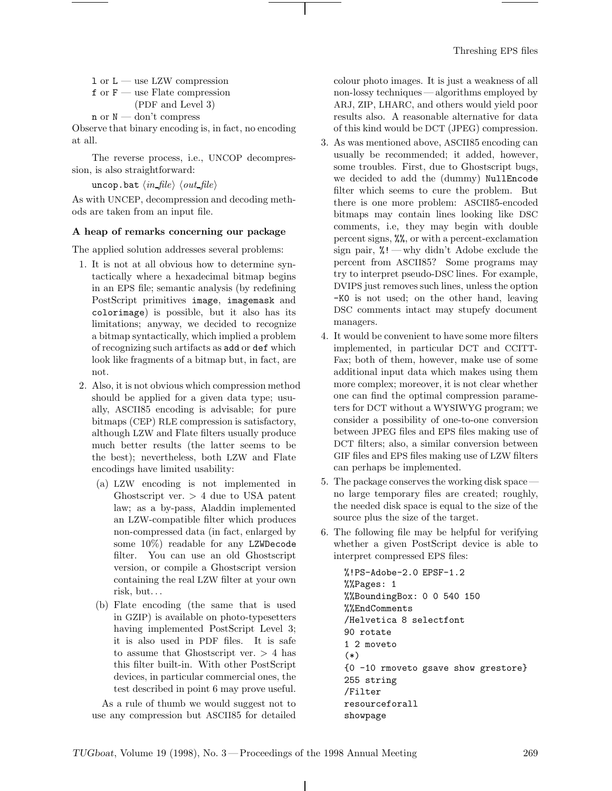$1$  or  $L$  — use LZW compression

- $f$  or  $F$  use Flate compression
- (PDF and Level 3)  $n \text{ or } N \longrightarrow \text{don't compress}$

Observe that binary encoding is, in fact, no encoding at all.

The reverse process, i.e., UNCOP decompression, is also straightforward:

uncop.bat  $\langle \mathit{in\_file} \rangle$   $\langle \mathit{out\_file} \rangle$ 

As with UNCEP, decompression and decoding methods are taken from an input file.

## **A heap of remarks concerning our package**

The applied solution addresses several problems:

- 1. It is not at all obvious how to determine syntactically where a hexadecimal bitmap begins in an EPS file; semantic analysis (by redefining PostScript primitives image, imagemask and colorimage) is possible, but it also has its limitations; anyway, we decided to recognize a bitmap syntactically, which implied a problem of recognizing such artifacts as add or def which look like fragments of a bitmap but, in fact, are not.
- 2. Also, it is not obvious which compression method should be applied for a given data type; usually, ASCII85 encoding is advisable; for pure bitmaps (CEP) RLE compression is satisfactory, although LZW and Flate filters usually produce much better results (the latter seems to be the best); nevertheless, both LZW and Flate encodings have limited usability:
	- (a) LZW encoding is not implemented in Ghostscript ver.  $> 4$  due to USA patent law; as a by-pass, Aladdin implemented an LZW-compatible filter which produces non-compressed data (in fact, enlarged by some 10%) readable for any LZWDecode filter. You can use an old Ghostscript version, or compile a Ghostscript version containing the real LZW filter at your own risk, but...
	- (b) Flate encoding (the same that is used in GZIP) is available on photo-typesetters having implemented PostScript Level 3; it is also used in PDF files. It is safe to assume that Ghostscript ver. > 4 has this filter built-in. With other PostScript devices, in particular commercial ones, the test described in point 6 may prove useful.

As a rule of thumb we would suggest not to use any compression but ASCII85 for detailed colour photo images. It is just a weakness of all non-lossy techniques — algorithms employed by ARJ, ZIP, LHARC, and others would yield poor results also. A reasonable alternative for data of this kind would be DCT (JPEG) compression.

- 3. As was mentioned above, ASCII85 encoding can usually be recommended; it added, however, some troubles. First, due to Ghostscript bugs, we decided to add the (dummy) NullEncode filter which seems to cure the problem. But there is one more problem: ASCII85-encoded bitmaps may contain lines looking like DSC comments, i.e, they may begin with double percent signs, %%, or with a percent-exclamation sign pair,  $\frac{9!}{8!}$  — why didn't Adobe exclude the percent from ASCII85? Some programs may try to interpret pseudo-DSC lines. For example, DVIPS just removes such lines, unless the option -K0 is not used; on the other hand, leaving DSC comments intact may stupefy document managers.
- 4. It would be convenient to have some more filters implemented, in particular DCT and CCITT-Fax; both of them, however, make use of some additional input data which makes using them more complex; moreover, it is not clear whether one can find the optimal compression parameters for DCT without a WYSIWYG program; we consider a possibility of one-to-one conversion between JPEG files and EPS files making use of DCT filters; also, a similar conversion between GIF files and EPS files making use of LZW filters can perhaps be implemented.
- 5. The package conserves the working disk space no large temporary files are created; roughly, the needed disk space is equal to the size of the source plus the size of the target.
- 6. The following file may be helpful for verifying whether a given PostScript device is able to interpret compressed EPS files:

```
%!PS-Adobe-2.0 EPSF-1.2
%%Pages: 1
%%BoundingBox: 0 0 540 150
%%EndComments
/Helvetica 8 selectfont
90 rotate
1 2 moveto
(*)
{0 -10 rmoveto gsave show grestore}
255 string
/Filter
resourceforall
showpage
```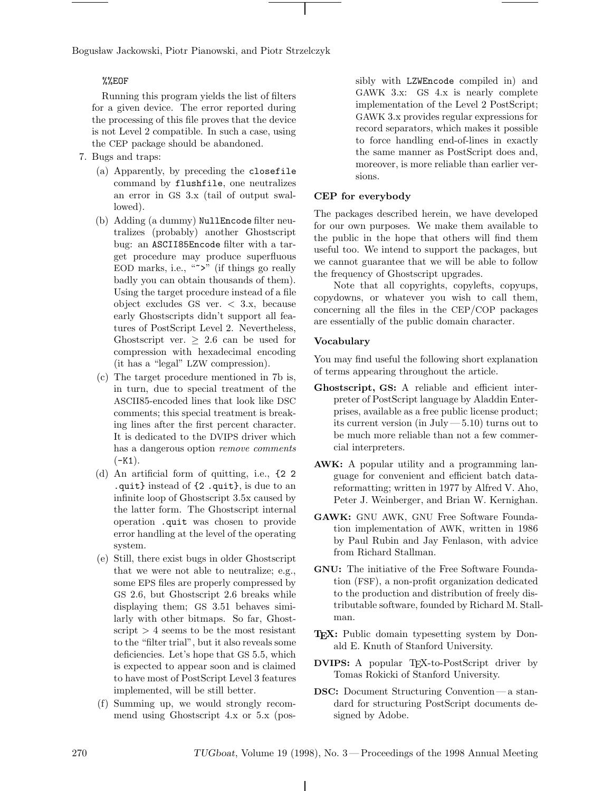Bogusław Jackowski, Piotr Pianowski, and Piotr Strzelczyk

## %%EOF

Running this program yields the list of filters for a given device. The error reported during the processing of this file proves that the device is not Level 2 compatible. In such a case, using the CEP package should be abandoned.

- 7. Bugs and traps:
	- (a) Apparently, by preceding the closefile command by flushfile, one neutralizes an error in GS 3.x (tail of output swallowed).
	- (b) Adding (a dummy) NullEncode filter neutralizes (probably) another Ghostscript bug: an ASCII85Encode filter with a target procedure may produce superfluous EOD marks, i.e., "">" (if things go really badly you can obtain thousands of them). Using the target procedure instead of a file object excludes GS ver. < 3.x, because early Ghostscripts didn't support all features of PostScript Level 2. Nevertheless, Ghostscript ver.  $> 2.6$  can be used for compression with hexadecimal encoding (it has a "legal" LZW compression).
	- (c) The target procedure mentioned in 7b is, in turn, due to special treatment of the ASCII85-encoded lines that look like DSC comments; this special treatment is breaking lines after the first percent character. It is dedicated to the DVIPS driver which has a dangerous option remove comments  $(-K1)$ .
	- (d) An artificial form of quitting, i.e., {2 2 .quit} instead of {2 .quit}, is due to an infinite loop of Ghostscript 3.5x caused by the latter form. The Ghostscript internal operation .quit was chosen to provide error handling at the level of the operating system.
	- (e) Still, there exist bugs in older Ghostscript that we were not able to neutralize; e.g., some EPS files are properly compressed by GS 2.6, but Ghostscript 2.6 breaks while displaying them; GS 3.51 behaves similarly with other bitmaps. So far, Ghostscript  $> 4$  seems to be the most resistant to the "filter trial", but it also reveals some deficiencies. Let's hope that GS 5.5, which is expected to appear soon and is claimed to have most of PostScript Level 3 features implemented, will be still better.
	- (f) Summing up, we would strongly recommend using Ghostscript 4.x or 5.x (pos-

sibly with LZWEncode compiled in) and GAWK 3.x: GS 4.x is nearly complete implementation of the Level 2 PostScript; GAWK 3.x provides regular expressions for record separators, which makes it possible to force handling end-of-lines in exactly the same manner as PostScript does and, moreover, is more reliable than earlier versions.

## **CEP for everybody**

The packages described herein, we have developed for our own purposes. We make them available to the public in the hope that others will find them useful too. We intend to support the packages, but we cannot guarantee that we will be able to follow the frequency of Ghostscript upgrades.

Note that all copyrights, copylefts, copyups, copydowns, or whatever you wish to call them, concerning all the files in the CEP/COP packages are essentially of the public domain character.

## **Vocabulary**

You may find useful the following short explanation of terms appearing throughout the article.

- **Ghostscript, GS:** A reliable and efficient interpreter of PostScript language by Aladdin Enterprises, available as a free public license product; its current version (in July  $-5.10$ ) turns out to be much more reliable than not a few commercial interpreters.
- **AWK:** A popular utility and a programming language for convenient and efficient batch datareformatting; written in 1977 by Alfred V. Aho, Peter J. Weinberger, and Brian W. Kernighan.
- **GAWK:** GNU AWK, GNU Free Software Foundation implementation of AWK, written in 1986 by Paul Rubin and Jay Fenlason, with advice from Richard Stallman.
- **GNU:** The initiative of the Free Software Foundation (FSF), a non-profit organization dedicated to the production and distribution of freely distributable software, founded by Richard M. Stallman.
- **TEX:** Public domain typesetting system by Donald E. Knuth of Stanford University.
- **DVIPS:** A popular T<sub>E</sub>X-to-PostScript driver by Tomas Rokicki of Stanford University.
- **DSC:** Document Structuring Convention— a standard for structuring PostScript documents designed by Adobe.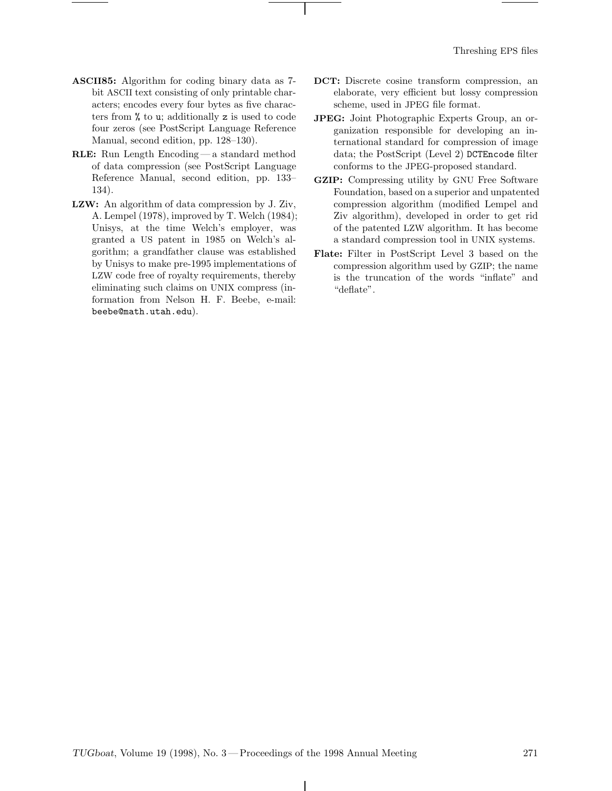- **ASCII85:** Algorithm for coding binary data as 7 bit ASCII text consisting of only printable characters; encodes every four bytes as five characters from % to u; additionally z is used to code four zeros (see PostScript Language Reference Manual, second edition, pp. 128–130).
- **RLE:** Run Length Encoding— a standard method of data compression (see PostScript Language Reference Manual, second edition, pp. 133– 134).
- **LZW:** An algorithm of data compression by J. Ziv, A. Lempel (1978), improved by T. Welch (1984); Unisys, at the time Welch's employer, was granted a US patent in 1985 on Welch's algorithm; a grandfather clause was established by Unisys to make pre-1995 implementations of LZW code free of royalty requirements, thereby eliminating such claims on UNIX compress (information from Nelson H. F. Beebe, e-mail: beebe@math.utah.edu).
- **DCT:** Discrete cosine transform compression, an elaborate, very efficient but lossy compression scheme, used in JPEG file format.
- **JPEG:** Joint Photographic Experts Group, an organization responsible for developing an international standard for compression of image data; the PostScript (Level 2) DCTEncode filter conforms to the JPEG-proposed standard.
- **GZIP:** Compressing utility by GNU Free Software Foundation, based on a superior and unpatented compression algorithm (modified Lempel and Ziv algorithm), developed in order to get rid of the patented LZW algorithm. It has become a standard compression tool in UNIX systems.
- **Flate:** Filter in PostScript Level 3 based on the compression algorithm used by GZIP; the name is the truncation of the words "inflate" and "deflate".